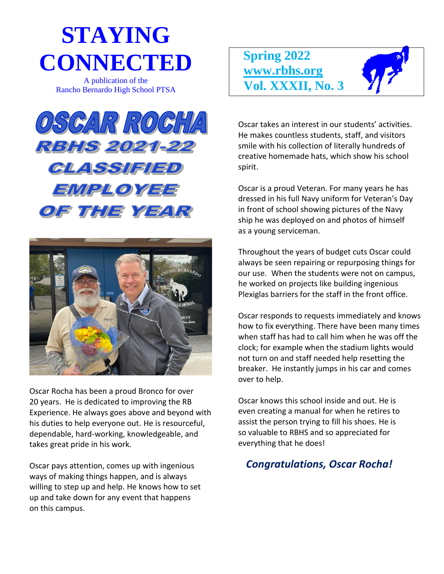# **STAYING CONNECTED**

A publication of the Rancho Bernardo High School PTSA





Oscar Rocha has been a proud Bronco for over 20 years. He is dedicated to improving the RB Experience. He always goes above and beyond with his duties to help everyone out. He is resourceful, dependable, hard-working, knowledgeable, and takes great pride in his work.

Oscar pays attention, comes up with ingenious ways of making things happen, and is always willing to step up and help. He knows how to set up and take down for any event that happens on this campus.



Oscar takes an interest in our students' activities. He makes countless students, staff, and visitors smile with his collection of literally hundreds of creative homemade hats, which show his school spirit.

Oscar is a proud Veteran. For many years he has dressed in his full Navy uniform for Veteran's Day in front of school showing pictures of the Navy ship he was deployed on and photos of himself as a young serviceman.

Throughout the years of budget cuts Oscar could always be seen repairing or repurposing things for our use. When the students were not on campus, he worked on projects like building ingenious Plexiglas barriers for the staff in the front office.

Oscar responds to requests immediately and knows how to fix everything. There have been many times when staff has had to call him when he was off the clock; for example when the stadium lights would not turn on and staff needed help resetting the breaker. He instantly jumps in his car and comes over to help.

Oscar knows this school inside and out. He is even creating a manual for when he retires to assist the person trying to fill his shoes. He is so valuable to RBHS and so appreciated for everything that he does!

## *Congratulations, Oscar Rocha!*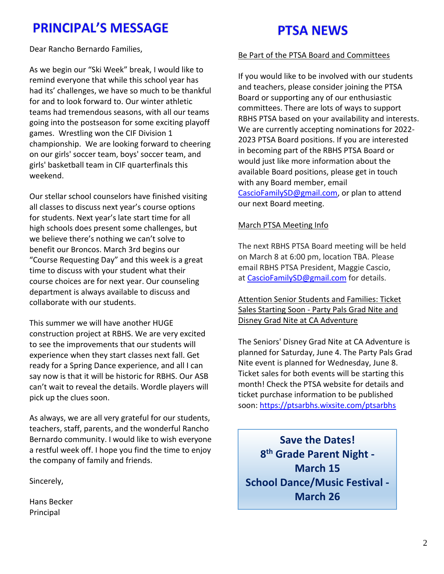# **PRINCIPAL'S MESSAGE**

Dear Rancho Bernardo Families,

As we begin our "Ski Week" break, I would like to remind everyone that while this school year has had its' challenges, we have so much to be thankful for and to look forward to. Our winter athletic teams had tremendous seasons, with all our teams going into the postseason for some exciting playoff games. Wrestling won the CIF Division 1 championship. We are looking forward to cheering on our girls' soccer team, boys' soccer team, and girls' basketball team in CIF quarterfinals this weekend.

Our stellar school counselors have finished visiting all classes to discuss next year's course options for students. Next year's late start time for all high schools does present some challenges, but we believe there's nothing we can't solve to benefit our Broncos. March 3rd begins our "Course Requesting Day" and this week is a great time to discuss with your student what their course choices are for next year. Our counseling department is always available to discuss and collaborate with our students.

This summer we will have another HUGE construction project at RBHS. We are very excited to see the improvements that our students will experience when they start classes next fall. Get ready for a Spring Dance experience, and all I can say now is that it will be historic for RBHS. Our ASB can't wait to reveal the details. Wordle players will pick up the clues soon.

As always, we are all very grateful for our students, teachers, staff, parents, and the wonderful Rancho Bernardo community. I would like to wish everyone a restful week off. I hope you find the time to enjoy the company of family and friends.

Sincerely,

Hans Becker Principal

# **PTSA NEWS**

### Be Part of the PTSA Board and Committees

If you would like to be involved with our students and teachers, please consider joining the PTSA Board or supporting any of our enthusiastic committees. There are lots of ways to support RBHS PTSA based on your availability and interests. We are currently accepting nominations for 2022- 2023 PTSA Board positions. If you are interested in becoming part of the RBHS PTSA Board or would just like more information about the available Board positions, please get in touch with any Board member, email [CascioFamilySD@gmail.com,](mailto:CascioFamilySD@gmail.com) or plan to attend our next Board meeting.

### March PTSA Meeting Info

The next RBHS PTSA Board meeting will be held on March 8 at 6:00 pm, location TBA. Please email RBHS PTSA President, Maggie Cascio, at [CascioFamilySD@gmail.com](mailto:CascioFamilySD@gmail.com) for details.

Attention Senior Students and Families: Ticket Sales Starting Soon - Party Pals Grad Nite and Disney Grad Nite at CA Adventure

The Seniors' Disney Grad Nite at CA Adventure is planned for Saturday, June 4. The Party Pals Grad Nite event is planned for Wednesday, June 8. Ticket sales for both events will be starting this month! Check the PTSA website for details and ticket purchase information to be published soon: [https://ptsarbhs.wixsite.com/ptsarbhs](https://linkprotect.cudasvc.com/url?a=https%3a%2f%2fptsarbhs.wixsite.com%2fptsarbhs&c=E,1,OxX_Z8XYSuJ_3mqJQTGYQ8Z-Vwh5FZqUDq1OcQYBRPEyJIH8Qrr-9BuOLi2MNn3D8pf12EbDqQetU5aqlVC8kSxPcsnc0tkBMWalYZu5&typo=0)

**Save the Dates! 8 th Grade Parent Night - March 15 School Dance/Music Festival - March 26**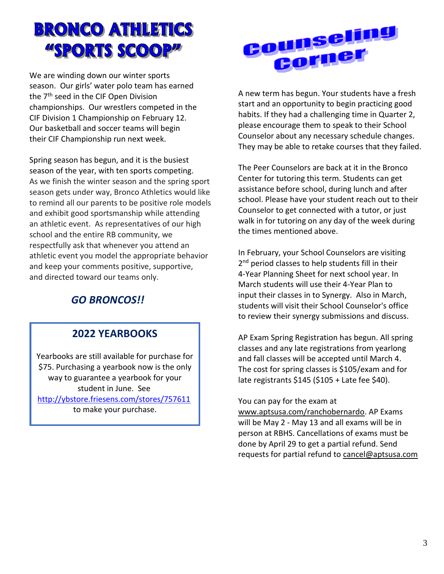# **BRONCO ATHLETICS** "SPORTS SCOOP"

We are winding down our winter sports season. Our girls' water polo team has earned the 7<sup>th</sup> seed in the CIF Open Division championships. Our wrestlers competed in the CIF Division 1 Championship on February 12. Our basketball and soccer teams will begin their CIF Championship run next week.

Spring season has begun, and it is the busiest season of the year, with ten sports competing. As we finish the winter season and the spring sport season gets under way, Bronco Athletics would like to remind all our parents to be positive role models and exhibit good sportsmanship while attending an athletic event. As representatives of our high school and the entire RB community, we respectfully ask that whenever you attend an athletic event you model the appropriate behavior and keep your comments positive, supportive, and directed toward our teams only.

## *GO BRONCOS!!*

## **2022 YEARBOOKS**

Yearbooks are still available for purchase for \$75. Purchasing a yearbook now is the only way to guarantee a yearbook for your student in June. See <http://ybstore.friesens.com/stores/757611> to make your purchase.

# **Counseling** Corner

A new term has begun. Your students have a fresh start and an opportunity to begin practicing good habits. If they had a challenging time in Quarter 2, please encourage them to speak to their School Counselor about any necessary schedule changes. They may be able to retake courses that they failed.

The Peer Counselors are back at it in the Bronco Center for tutoring this term. Students can get assistance before school, during lunch and after school. Please have your student reach out to their Counselor to get connected with a tutor, or just walk in for tutoring on any day of the week during the times mentioned above.

In February, your School Counselors are visiting 2<sup>nd</sup> period classes to help students fill in their 4-Year Planning Sheet for next school year. In March students will use their 4-Year Plan to input their classes in to Synergy. Also in March, students will visit their School Counselor's office to review their synergy submissions and discuss.

AP Exam Spring Registration has begun. All spring classes and any late registrations from yearlong and fall classes will be accepted until March 4. The cost for spring classes is \$105/exam and for late registrants \$145 (\$105 + Late fee \$40).

You can pay for the exam at

[www.aptsusa.com/ranchobernardo.](http://www.aptsusa.com/ranchobernardo) AP Exams will be May 2 - May 13 and all exams will be in person at RBHS. Cancellations of exams must be done by April 29 to get a partial refund. Send requests for partial refund to [cancel@aptsusa.com](mailto:cancel@aptsusa.com)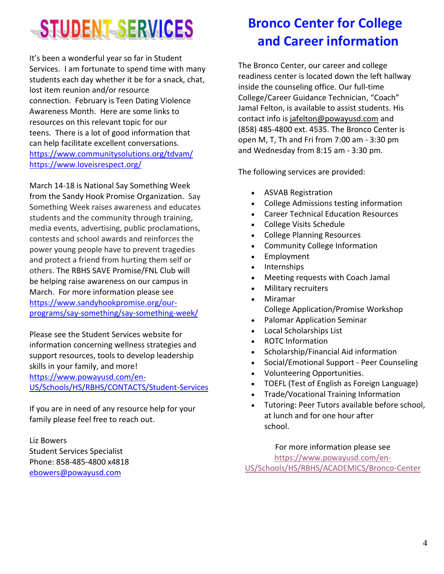

It's been a wonderful year so far in Student Services. I am fortunate to spend time with many students each day whether it be for a snack, chat, lost item reunion and/or resource connection. February is Teen Dating Violence Awareness Month. Here are some links to resources on this relevant topic for our teens. There is a lot of good information that can help facilitate excellent conversations. <https://www.communitysolutions.org/tdvam/> <https://www.loveisrespect.org/>

March 14-18 is National Say Something Week from the Sandy Hook Promise Organization. Say Something Week raises awareness and educates students and the community through training, media events, advertising, public proclamations, contests and school awards and reinforces the power young people have to prevent tragedies and protect a friend from hurting them self or others. The RBHS SAVE Promise/FNL Club will be helping raise awareness on our campus in March. For more information please see [https://www.sandyhookpromise.org/our](https://www.sandyhookpromise.org/our-programs/say-something/say-something-week/)[programs/say-something/say-something-week/](https://www.sandyhookpromise.org/our-programs/say-something/say-something-week/)

Please see the Student Services website for information concerning wellness strategies and support resources, tools to develop leadership skills in your family, and more! [https://www.powayusd.com/en-](https://www.powayusd.com/en-US/Schools/HS/RBHS/CONTACTS/Student-Services)[US/Schools/HS/RBHS/CONTACTS/Student-Services](https://www.powayusd.com/en-US/Schools/HS/RBHS/CONTACTS/Student-Services)

If you are in need of any resource help for your family please feel free to reach out.

Liz Bowers Student Services Specialist Phone: 858-485-4800 x4818 [ebowers@powayusd.com](mailto:ebowers@powayusd.com)

# **Bronco Center for College and Career information**

The Bronco Center, our career and college readiness center is located down the left hallway inside the counseling office. Our full-time College/Career Guidance Technician, "Coach" Jamal Felton, is available to assist students. His contact info is [jafelton@powayusd.com](mailto:jafelton@powayusd.com) and (858) 485-4800 ext. 4535. The Bronco Center is open M, T, Th and Fri from 7:00 am - 3:30 pm and Wednesday from 8:15 am - 3:30 pm.

The following services are provided:

- [ASVAB Registration](https://forms.gle/VCRiHJ6ni1p96a6U8)
- College Admissions testing information
- [Career Technical Education](https://drive.google.com/file/d/1XUber_9Y6jMblfy1oCxLAdwrtFXcMeu1/view?usp=sharing) Resources
- College Visits [Schedule](https://drive.google.com/drive/folders/10aCgSoeDcO_0-TRWd1tYExdK74UQ8O6V?usp=sharing)
- [College Planning Resources](https://www.powayusd.com/en-US/Schools/HS/RBHS/ACADEMICS/College-Planning)
- [Community College](https://drive.google.com/file/d/1F7V9z2jdd1wqDsPhwSbZrAvUCBxHYo7f/view?usp=sharing) Information
- [Employment](https://drive.google.com/drive/folders/1VcVkA98IEZ7Ln6qTCXAstZ8POzE6COQv?usp=sharing)
- [Internships](https://drive.google.com/drive/folders/1d116rs9SDbyrgtxUd7pM8NFWMI07dVA8?usp=sharing)
- Meeting requests with Coach Jamal
- Military recruiters
- Miramar College [Application/Promise](https://drive.google.com/open?id=11HPeaCQCvFKcf7V2p5VwmqE7kh8DzDAI) Workshop
- [Palomar Application Seminar](https://forms.gle/V2vLuP6DgNoU3AwY9)
- [Local Scholarships List](https://drive.google.com/file/d/14fNRuNt_U6jN2iYtLZ1tZ1ySoo3x6Uuq/view)
- [ROTC Information](https://drive.google.com/file/d/1Ua06Xt6Vpx04mDZwqttc3ZaM6OkvJZA7/view?usp=sharing)
- [Scholarship/Financial Aid information](https://www.powayusd.com/en-US/Schools/HS/RBHS/ACADEMICS/Scholarships-Financial-Aid)
- [Social/Emotional Support](https://docs.google.com/forms/d/e/1FAIpQLSeTWDKq8R4MKg56O3k7fJUA3Irt5PaJ3NtVsnhf1Y6seEai7g/viewform) Peer Counseling
- [Volunteering Opportunities.](https://teensvolunteer.org/volunteer-opportunities/?fwp_location=san-diego-county)
- TOEFL (Test of English as Foreign Language)
- [Trade/Vocational Training Information](https://drive.google.com/drive/folders/1W8KMr25PbBr0Nni1XRKKeHLTCzYHjVVd?usp=sharing)
- Tutoring: Peer Tutors available before school, at lunch and for one hour after school.

For more information please see [https://www.powayusd.com/en-](https://www.powayusd.com/en-US/Schools/HS/RBHS/ACADEMICS/Bronco-Center)[US/Schools/HS/RBHS/ACADEMICS/Bronco-Center](https://www.powayusd.com/en-US/Schools/HS/RBHS/ACADEMICS/Bronco-Center)